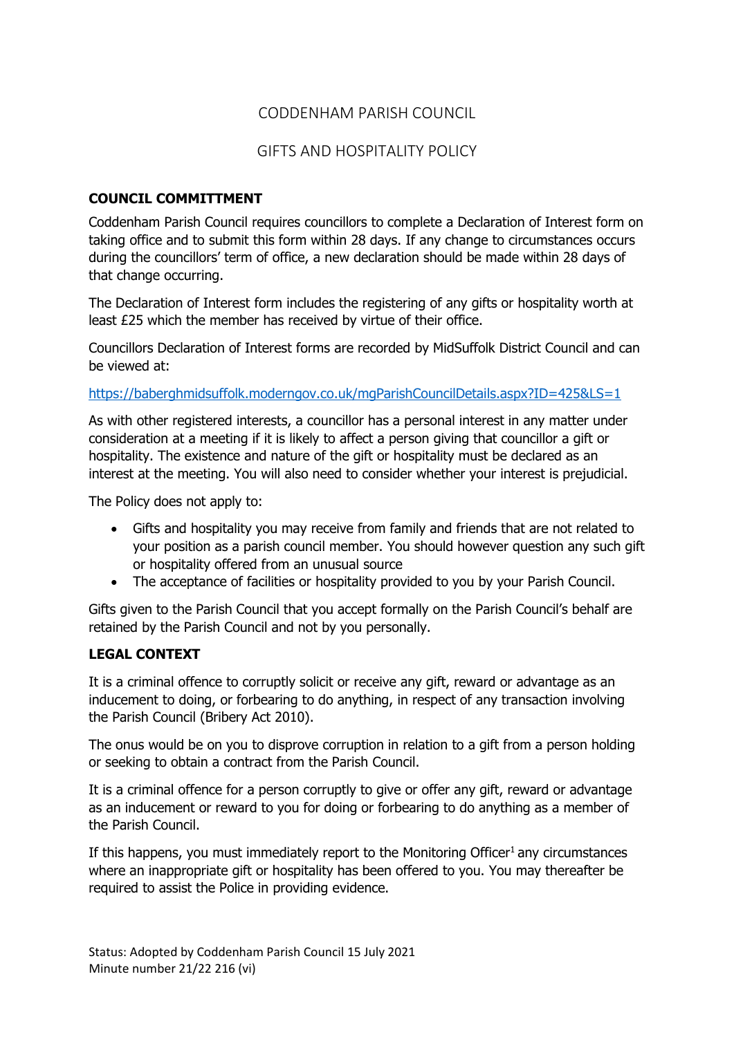### CODDENHAM PARISH COUNCIL

## GIFTS AND HOSPITALITY POLICY

#### **COUNCIL COMMITTMENT**

Coddenham Parish Council requires councillors to complete a Declaration of Interest form on taking office and to submit this form within 28 days. If any change to circumstances occurs during the councillors' term of office, a new declaration should be made within 28 days of that change occurring.

The Declaration of Interest form includes the registering of any gifts or hospitality worth at least £25 which the member has received by virtue of their office.

Councillors Declaration of Interest forms are recorded by MidSuffolk District Council and can be viewed at:

<https://baberghmidsuffolk.moderngov.co.uk/mgParishCouncilDetails.aspx?ID=425&LS=1>

As with other registered interests, a councillor has a personal interest in any matter under consideration at a meeting if it is likely to affect a person giving that councillor a gift or hospitality. The existence and nature of the gift or hospitality must be declared as an interest at the meeting. You will also need to consider whether your interest is prejudicial.

The Policy does not apply to:

- Gifts and hospitality you may receive from family and friends that are not related to your position as a parish council member. You should however question any such gift or hospitality offered from an unusual source
- The acceptance of facilities or hospitality provided to you by your Parish Council.

Gifts given to the Parish Council that you accept formally on the Parish Council's behalf are retained by the Parish Council and not by you personally.

#### **LEGAL CONTEXT**

It is a criminal offence to corruptly solicit or receive any gift, reward or advantage as an inducement to doing, or forbearing to do anything, in respect of any transaction involving the Parish Council (Bribery Act 2010).

The onus would be on you to disprove corruption in relation to a gift from a person holding or seeking to obtain a contract from the Parish Council.

It is a criminal offence for a person corruptly to give or offer any gift, reward or advantage as an inducement or reward to you for doing or forbearing to do anything as a member of the Parish Council.

If this happens, you must immediately report to the Monitoring Officer<sup>1</sup> any circumstances where an inappropriate gift or hospitality has been offered to you. You may thereafter be required to assist the Police in providing evidence.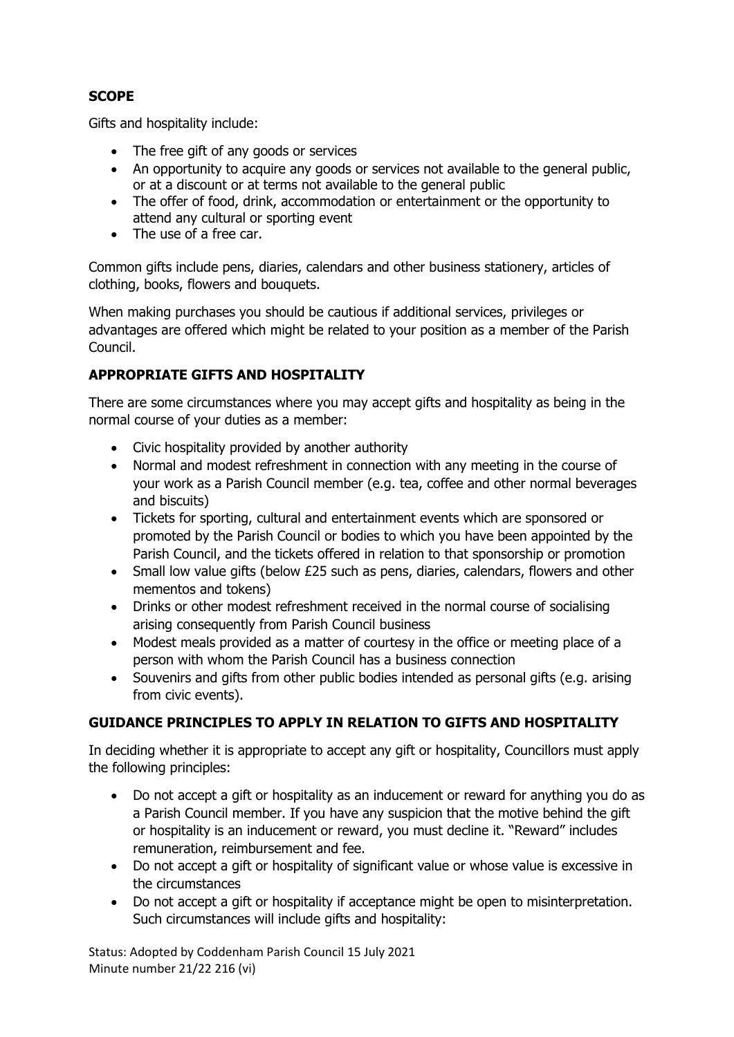### **SCOPE**

Gifts and hospitality include:

- The free gift of any goods or services
- An opportunity to acquire any goods or services not available to the general public, or at a discount or at terms not available to the general public
- The offer of food, drink, accommodation or entertainment or the opportunity to attend any cultural or sporting event
- The use of a free car.

Common gifts include pens, diaries, calendars and other business stationery, articles of clothing, books, flowers and bouquets.

When making purchases you should be cautious if additional services, privileges or advantages are offered which might be related to your position as a member of the Parish Council.

## **APPROPRIATE GIFTS AND HOSPITALITY**

There are some circumstances where you may accept gifts and hospitality as being in the normal course of your duties as a member:

- Civic hospitality provided by another authority
- Normal and modest refreshment in connection with any meeting in the course of your work as a Parish Council member (e.g. tea, coffee and other normal beverages and biscuits)
- Tickets for sporting, cultural and entertainment events which are sponsored or promoted by the Parish Council or bodies to which you have been appointed by the Parish Council, and the tickets offered in relation to that sponsorship or promotion
- Small low value gifts (below £25 such as pens, diaries, calendars, flowers and other mementos and tokens)
- Drinks or other modest refreshment received in the normal course of socialising arising consequently from Parish Council business
- Modest meals provided as a matter of courtesy in the office or meeting place of a person with whom the Parish Council has a business connection
- Souvenirs and gifts from other public bodies intended as personal gifts (e.g. arising from civic events).

#### **GUIDANCE PRINCIPLES TO APPLY IN RELATION TO GIFTS AND HOSPITALITY**

In deciding whether it is appropriate to accept any gift or hospitality, Councillors must apply the following principles:

- Do not accept a gift or hospitality as an inducement or reward for anything you do as a Parish Council member. If you have any suspicion that the motive behind the gift or hospitality is an inducement or reward, you must decline it. "Reward" includes remuneration, reimbursement and fee.
- Do not accept a gift or hospitality of significant value or whose value is excessive in the circumstances
- Do not accept a gift or hospitality if acceptance might be open to misinterpretation. Such circumstances will include gifts and hospitality:

Status: Adopted by Coddenham Parish Council 15 July 2021 Minute number 21/22 216 (vi)